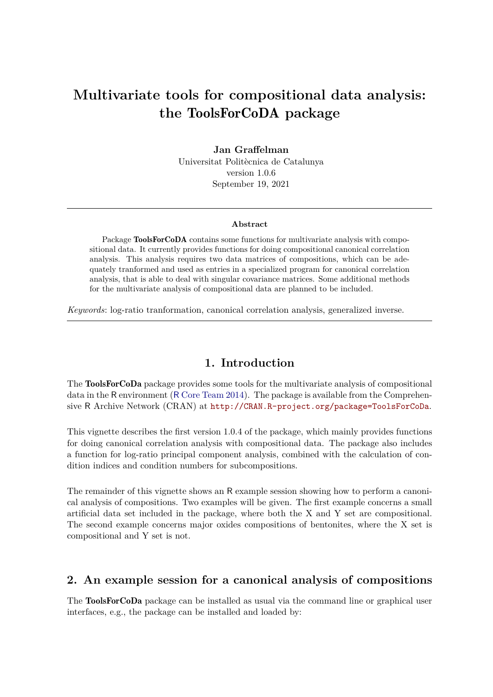# **Multivariate tools for compositional data analysis: the** ToolsForCoDA **package**

**Jan Graffelman** Universitat Politècnica de Catalunya version 1.0.6 September 19, 2021

#### **Abstract**

Package ToolsForCoDA contains some functions for multivariate analysis with compositional data. It currently provides functions for doing compositional canonical correlation analysis. This analysis requires two data matrices of compositions, which can be adequately tranformed and used as entries in a specialized program for canonical correlation analysis, that is able to deal with singular covariance matrices. Some additional methods for the multivariate analysis of compositional data are planned to be included.

*Keywords*: log-ratio tranformation, canonical correlation analysis, generalized inverse.

## **1. Introduction**

The ToolsForCoDa package provides some tools for the multivariate analysis of compositional data in the R environment (R [Core Team](#page-10-0) [2014\)](#page-10-0). The package is available from the Comprehensive R Archive Network (CRAN) at <http://CRAN.R-project.org/package=ToolsForCoDa>.

This vignette describes the first version 1.0.4 of the package, which mainly provides functions for doing canonical correlation analysis with compositional data. The package also includes a function for log-ratio principal component analysis, combined with the calculation of condition indices and condition numbers for subcompositions.

The remainder of this vignette shows an R example session showing how to perform a canonical analysis of compositions. Two examples will be given. The first example concerns a small artificial data set included in the package, where both the X and Y set are compositional. The second example concerns major oxides compositions of bentonites, where the X set is compositional and Y set is not.

## **2. An example session for a canonical analysis of compositions**

The ToolsForCoDa package can be installed as usual via the command line or graphical user interfaces, e.g., the package can be installed and loaded by: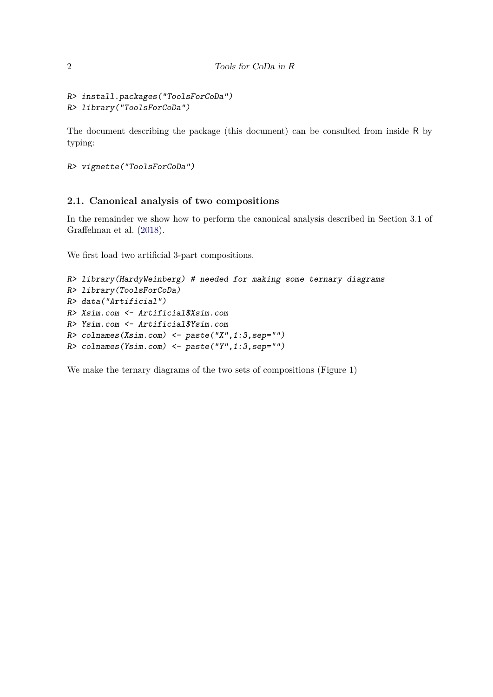```
R> install.packages("ToolsForCoDa")
R> library("ToolsForCoDa")
```
The document describing the package (this document) can be consulted from inside R by typing:

```
R> vignette("ToolsForCoDa")
```
## **2.1. Canonical analysis of two compositions**

In the remainder we show how to perform the canonical analysis described in Section 3.1 of Graffelman et al. [\(2018\)](#page-10-1).

We first load two artificial 3-part compositions.

```
R> library(HardyWeinberg) # needed for making some ternary diagrams
R> library(ToolsForCoDa)
R> data("Artificial")
R> Xsim.com <- Artificial$Xsim.com
R> Ysim.com <- Artificial$Ysim.com
R> colnames(Xsim.com) <- paste("X",1:3,sep="")
R> colnames(Ysim.com) <- paste("Y",1:3,sep="")
```
We make the ternary diagrams of the two sets of compositions (Figure 1)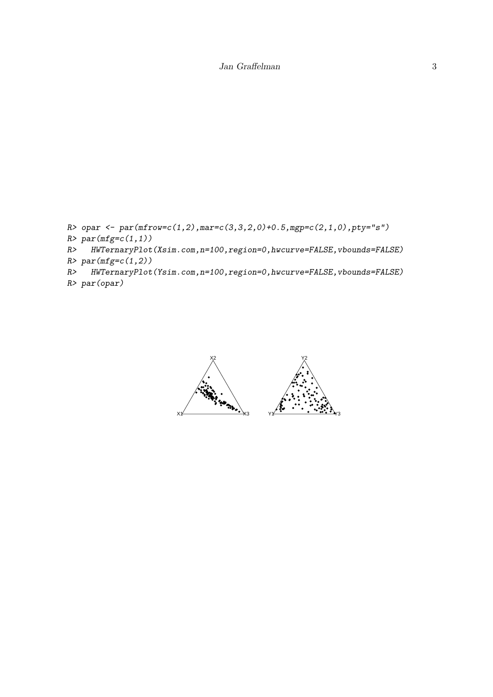### Jan Graffelman 3

```
R> opar <- par(mfrow=c(1,2), mar=c(3,3,2,0)+0.5, mgp=c(2,1,0), pty="s")
R> par(mfg=c(1,1))R> HWTernaryPlot(Xsim.com,n=100,region=0,hwcurve=FALSE,vbounds=FALSE)
R > par(mfg=c(1,2))R> HWTernaryPlot(Ysim.com,n=100,region=0,hwcurve=FALSE,vbounds=FALSE)
R> par(opar)
```
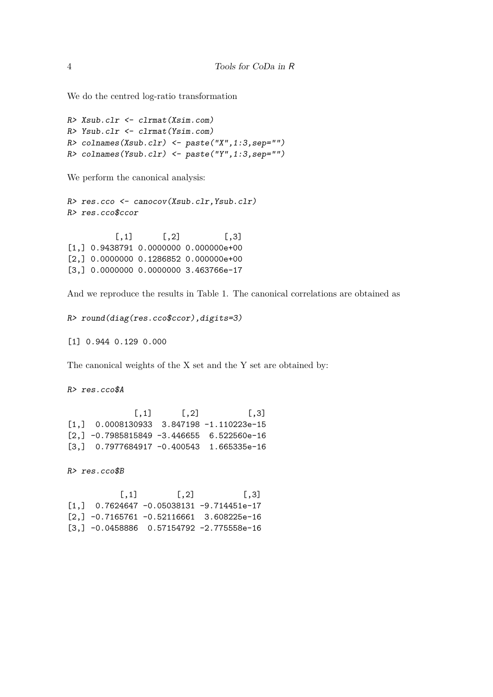We do the centred log-ratio transformation

```
R> Xsub.clr <- clrmat(Xsim.com)
R> Ysub.clr <- clrmat(Ysim.com)
R> colnames(Xsub.clr) <- paste("X",1:3,sep="")
R> colnames(Ysub.clr) <- paste("Y",1:3,sep="")
```
We perform the canonical analysis:

```
R> res.cco <- canocov(Xsub.clr,Ysub.clr)
R> res.cco$ccor
```
 $[,1]$   $[,2]$   $[,3]$ [1,] 0.9438791 0.0000000 0.000000e+00 [2,] 0.0000000 0.1286852 0.000000e+00 [3,] 0.0000000 0.0000000 3.463766e-17

And we reproduce the results in Table 1. The canonical correlations are obtained as

R> round(diag(res.cco\$ccor),digits=3)

[1] 0.944 0.129 0.000

The canonical weights of the X set and the Y set are obtained by:

R> res.cco\$A

|                                                          | $ .1 $ $ .2 $ | $\lceil .3 \rceil$ |
|----------------------------------------------------------|---------------|--------------------|
| $[1,]$ 0.0008130933 3.847198 -1.110223e-15               |               |                    |
| $\lceil 2.1 \rceil$ -0.7985815849 -3.446655 6.522560e-16 |               |                    |
| $\lceil 3. \rceil$ 0.7977684917 -0.400543 1.665335e-16   |               |                    |

R> res.cco\$B

| $\vert .1 \vert$ | $\vert .2 \vert$ | $\vert .3 \vert$                           |
|------------------|------------------|--------------------------------------------|
|                  |                  | $[1,]$ 0.7624647 -0.05038131 -9.714451e-17 |
|                  |                  | $[2,] -0.7165761 -0.52116661 3.608225e-16$ |
|                  |                  | $[3,] -0.0458886$ 0.57154792 -2.775558e-16 |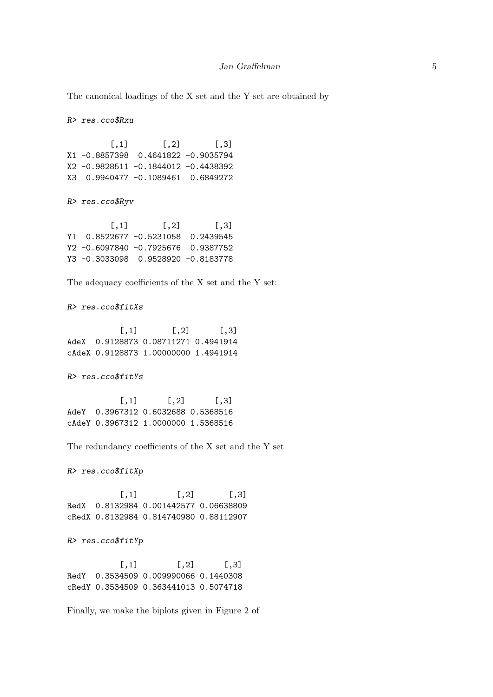The canonical loadings of the X set and the Y set are obtained by

R> res.cco\$Rxu

 $[$ ,1]  $[$ ,2]  $[$ ,3] X1 -0.8857398 0.4641822 -0.9035794 X2 -0.9828511 -0.1844012 -0.4438392 X3 0.9940477 -0.1089461 0.6849272

R> res.cco\$Ryv

 $[$ ,1]  $[$ ,2]  $[$ ,3] Y1 0.8522677 -0.5231058 0.2439545 Y2 -0.6097840 -0.7925676 0.9387752 Y3 -0.3033098 0.9528920 -0.8183778

The adequacy coefficients of the X set and the Y set:

R> res.cco\$fitXs

 $[,1]$   $[,2]$   $[,3]$ AdeX 0.9128873 0.08711271 0.4941914 cAdeX 0.9128873 1.00000000 1.4941914

R> res.cco\$fitYs

 $[,1]$   $[,2]$   $[,3]$ AdeY 0.3967312 0.6032688 0.5368516 cAdeY 0.3967312 1.0000000 1.5368516

The redundancy coefficients of the X set and the Y set

R> res.cco\$fitXp

 $[0,1]$   $[0,2]$   $[0,3]$ RedX 0.8132984 0.001442577 0.06638809 cRedX 0.8132984 0.814740980 0.88112907

R> res.cco\$fitYp

 $[ , 1]$   $[ , 2]$   $[ , 3]$ RedY 0.3534509 0.009990066 0.1440308 cRedY 0.3534509 0.363441013 0.5074718

Finally, we make the biplots given in Figure 2 of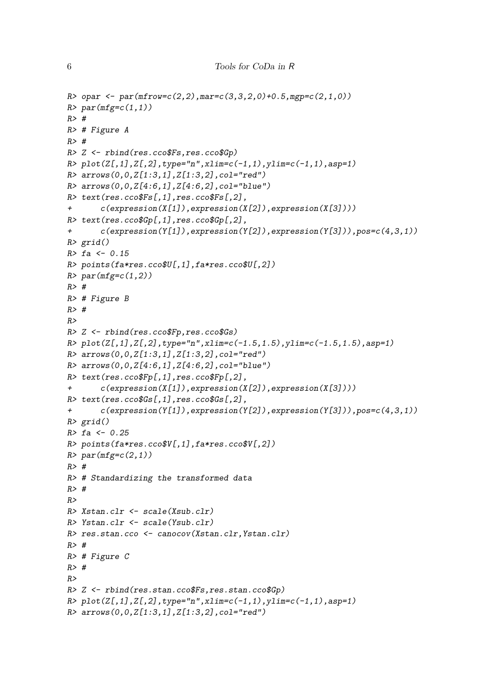```
R> opar \leq par(mfrow=c(2,2), mar=c(3,3,2,0)+0.5, mgp=c(2,1,0))
R> par(mfg=c(1,1))
R > #R> # Figure A
R #
R> Z <- rbind(res.cco$Fs,res.cco$Gp)
R > plot(Z[,1], Z[,2], type="n", xlim=c(-1,1), ylim=c(-1,1), asp=1)R> arrows(0,0,Z[1:3,1],Z[1:3,2],col="red")
R > \arrows (0, 0, Z[4:6, 1], Z[4:6, 2], col="blue")R> text(res.cco$Fs[,1],res.cco$Fs[,2],
+ c(expression(X[1]),expression(X[2]),expression(X[3])))
R> text(res.cco$Gp[,1],res.cco$Gp[,2],
+ c(expression(Y[1]),expression(Y[2]),expression(Y[3])),pos=c(4,3,1))
R> grid()
R > fa < -0.15R> points(fa*res.cco$U[,1],fa*res.cco$U[,2])
R > par(mfg=c(1,2))R > #R> # Figure B
R > #R>R > Z \leftarrow rbind(res.cco$Fp.res.cco$Gs)
R> plot(Z[,1],Z[,2],type="n",xlim=c(-1.5,1.5),ylim=c(-1.5,1.5),asp=1)
R> arrows(0,0,Z[1:3,1],Z[1:3,2],col="red")
R> arrows(0,0,Z[4:6,1],Z[4:6,2],col="blue")
R> text(res.cco$Fp[,1],res.cco$Fp[,2],
+ c(expression(X[1]),expression(X[2]),expression(X[3])))
R> text(res.cco$Gs[,1],res.cco$Gs[,2],
+ c(expression(Y[1]),expression(Y[2]),expression(Y[3])),pos=c(4,3,1))
R > grid()R> fa <- 0.25
R> points(fa*res.cco$V[,1],fa*res.cco$V[,2])
R > par(mfg=c(2,1))R > #R> # Standardizing the transformed data
R > #R>R> Xstan.clr <- scale(Xsub.clr)
R> Ystan.clr <- scale(Ysub.clr)
R> res.stan.cco <- canocov(Xstan.clr,Ystan.clr)
R> #
R> # Figure C
R > #R>R> Z <- rbind(res.stan.cco$Fs,res.stan.cco$Gp)
R> plot(Z[,1],Z[,2],type="n",xlim=c(-1,1),ylim=c(-1,1),asp=1)R> arrows(0,0,Z[1:3,1],Z[1:3,2],col="red")
```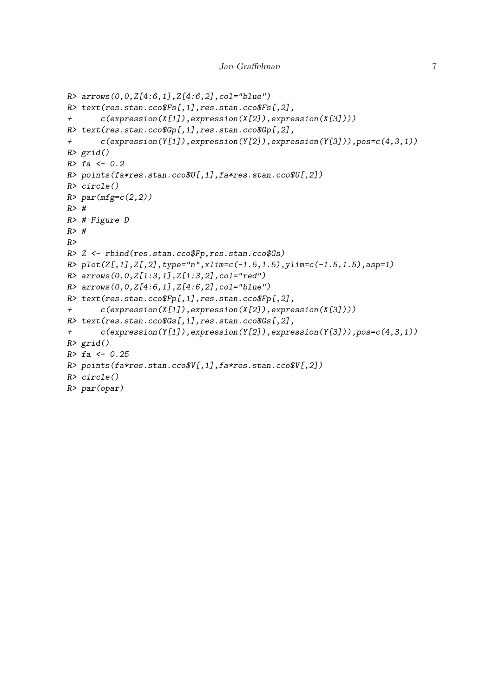```
R > \arrows (0, 0, Z[4:6, 1], Z[4:6, 2], col="blue")R> text(res.stan.cco$Fs[,1],res.stan.cco$Fs[,2],
+ c(expression(X[1]),expression(X[2]),expression(X[3])))
R> text(res.stan.cco$Gp[,1],res.stan.cco$Gp[,2],
+ c(expression(Y[1]),expression(Y[2]),expression(Y[3])),pos=c(4,3,1))
R > grid()R > fa < -0.2R> points(fa*res.stan.cco$U[,1],fa*res.stan.cco$U[,2])
R> circle()
R > par(mfg=c(2,2))R> #
R> # Figure D
R> \#R>R> Z <- rbind(res.stan.cco$Fp,res.stan.cco$Gs)
R> plot(Z[,1],Z[,2],type="n",xlim=c(-1.5,1.5),ylim=c(-1.5,1.5),asp=1)R> arrows(0,0,Z[1:3,1],Z[1:3,2],col="red")
R > \arrows (0, 0, Z[4:6, 1], Z[4:6, 2], col="blue")R> text(res.stan.cco$Fp[,1],res.stan.cco$Fp[,2],
+ c(expression(X[1]),expression(X[2]),expression(X[3])))
R> text(res.stan.cco$Gs[,1],res.stan.cco$Gs[,2],
+ c(expression(Y[1]),expression(Y[2]),expression(Y[3])),pos=c(4,3,1))
R> grid()
R > fa < -0.25R> points(fa*res.stan.cco$V[,1],fa*res.stan.cco$V[,2])
R> circle()
R> par(opar)
```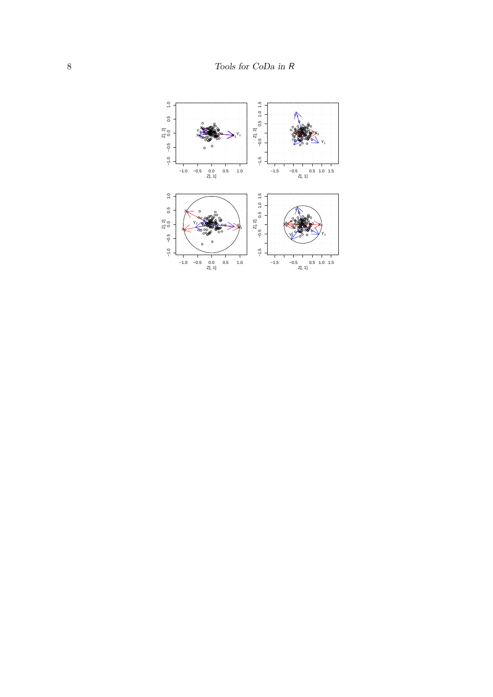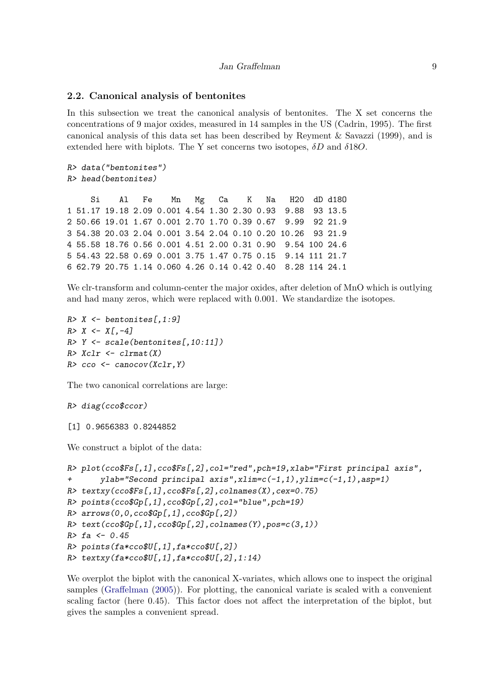### **2.2. Canonical analysis of bentonites**

In this subsection we treat the canonical analysis of bentonites. The X set concerns the concentrations of 9 major oxides, measured in 14 samples in the US (Cadrin, 1995). The first canonical analysis of this data set has been described by Reyment & Savazzi (1999), and is extended here with biplots. The Y set concerns two isotopes, *δD* and *δ*18*O*.

```
R> data("bentonites")
R> head(bentonites)
```
Si Al Fe Mn Mg Ca K Na H20 dD d18O 1 51.17 19.18 2.09 0.001 4.54 1.30 2.30 0.93 9.88 93 13.5 2 50.66 19.01 1.67 0.001 2.70 1.70 0.39 0.67 9.99 92 21.9 3 54.38 20.03 2.04 0.001 3.54 2.04 0.10 0.20 10.26 93 21.9 4 55.58 18.76 0.56 0.001 4.51 2.00 0.31 0.90 9.54 100 24.6 5 54.43 22.58 0.69 0.001 3.75 1.47 0.75 0.15 9.14 111 21.7 6 62.79 20.75 1.14 0.060 4.26 0.14 0.42 0.40 8.28 114 24.1

We clr-transform and column-center the major oxides, after deletion of MnO which is outlying and had many zeros, which were replaced with 0.001. We standardize the isotopes.

```
R > X \leftarrow bentonites [, 1:9]
R > X \leftarrow X[, -4]R> Y <- scale(bentonites[,10:11])
R> Xclr <- clrmat(X)R> cco <- canocov(Xclr, Y)
```
The two canonical correlations are large:

R> diag(cco\$ccor)

```
[1] 0.9656383 0.8244852
```
We construct a biplot of the data:

```
R> plot(cco$Fs[,1],cco$Fs[,2],col="red",pch=19,xlab="First principal axis",
+ ylab="Second principal axis",xlim=c(-1,1),ylim=c(-1,1),asp=1)
R> textxy(cco$Fs[,1],cco$Fs[,2],colnames(X),cex=0.75)
R> points(cco$Gp[,1],cco$Gp[,2],col="blue",pch=19)
R > \arrows (0, 0, c \cos 65) [1, 1, c \cos 65] [2]R text(cco$Gp[,1],cco$Gp[,2],colnames(Y),pos=c(3,1))
R > fa < -0.45R> points(fa*cco$U[,1],fa*cco$U[,2])
R> textxy(fa*cco$U[,1],fa*cco$U[,2],1:14)
```
We overplot the biplot with the canonical X-variates, which allows one to inspect the original samples [\(Graffelman](#page-10-2) [\(2005\)](#page-10-2)). For plotting, the canonical variate is scaled with a convenient scaling factor (here 0.45). This factor does not affect the interpretation of the biplot, but gives the samples a convenient spread.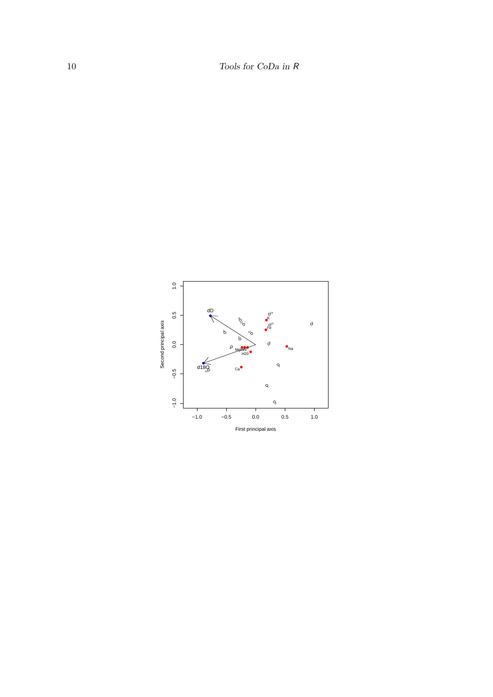